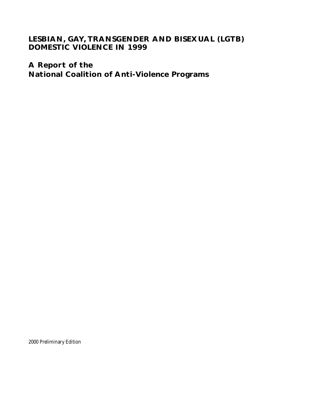# **LESBIAN, GAY, TRANSGENDER AND BISEXUAL (LGTB) DOMESTIC VIOLENCE IN 1999**

**A Report of the National Coalition of Anti-Violence Programs**

2000 Preliminary Edition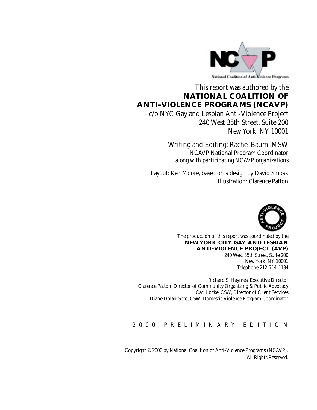

# This report was authored by the **NATIONAL COALITION OF ANTI-VIOLENCE PROGRAMS (NCAVP)**

c/o NYC Gay and Lesbian Anti-Violence Project 240 West 35th Street, Suite 200 New York, NY 10001

> Writing and Editing: Rachel Baum, MSW NCAVP National Program Coordinator *along with participating NCAVP organizations*

Layout: Ken Moore, based on a design by David Smoak Illustration: Clarence Patton



The production of this report was coordinated by the **NEW YORK CITY GAY AND LESBIAN ANTI-VIOLENCE PROJECT (AVP)**

240 West 35th Street, Suite 200 New York, NY 10001 Telephone 212-714-1184

Richard S. Haymes, Executive Director Clarence Patton, Director of Community Organizing & Public Advocacy Carl Locke, CSW, Director of Client Services Diane Dolan-Soto, CSW, Domestic Violence Program Coordinator

2000 PRELIMINARY EDITION

Copyright © 2000 by National Coalition of Anti-Violence Programs (NCAVP). All Rights Reserved.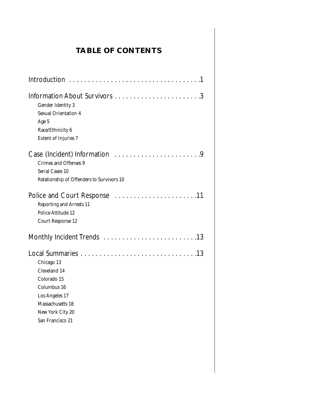# **TABLE OF CONTENTS**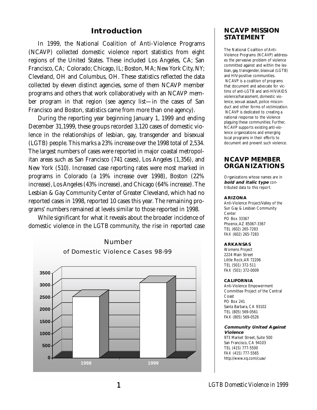## **Introduction**

In 1999, the National Coalition of Anti-Violence Programs (NCAVP) collected domestic violence report statistics from eight regions of the United States. These included Los Angeles, CA; San Francisco, CA; Colorado; Chicago, IL; Boston, MA; New York City, NY; Cleveland, OH and Columbus, OH. These statistics reflected the data collected by eleven distinct agencies, some of them NCAVP member programs and others that work collaboratively with an NCAVP member program in that region (see agency list—in the cases of San Francisco and Boston, statistics came from more than one agency).

During the reporting year beginning January 1, 1999 and ending December 31,1999, these groups recorded 3,120 cases of domestic violence in the relationships of lesbian, gay, transgender and bisexual (LGTB) people. This marks a 23% increase over the 1998 total of 2,534. The largest numbers of cases were reported in major coastal metropolitan areas such as San Francisco (741 cases), Los Angeles (1,356), and New York (510). Increased case reporting rates were most marked in programs in Colorado (a 19% increase over 1998), Boston (22% increase), Los Angeles (43% increase), and Chicago (64% increase). The Lesbian & Gay Community Center of Greater Cleveland, which had no reported cases in 1998, reported 10 cases this year. The remaining programs' numbers remained at levels similar to those reported in 1998.

While significant for what it reveals about the broader incidence of domestic violence in the LGTB community, the rise in reported case

# Number of Domestic Violence Cases 98-99



## **NCAVP MISSION STATEMENT**

The National Coalition of Anti-Violence Programs (NCAVP) addresses the pervasive problem of violence committed against and within the lesbian, gay, transgender, bisexual (LGTB) and HIV-positive communities. NCAVP is a coalition of programs that document and advocate for victims of anti-LGTB and anti-HIV/AIDS violence/harassment, domestic violence, sexual assault, police misconduct and other forms of victimization. NCAVP is dedicated to creating a national response to the violence plaguing these communities. Further, NCAVP supports existing anti-violence organizations and emerging local programs in their efforts to document and prevent such violence.

## **NCAVP MEMBER ORGANIZATIONS**

Organizations whose names are in **bold and italic type** contributed data to this report.

#### **ARIZONA**

Anti-Violence Project/Valley of the Sun Gay & Lesbian Community Center PO Box 33367 Phoenix,AZ 85067-3367 TEL (602) 265-7283 FAX (602) 265-7283

#### **ARKANSAS**

Womens Project 2224 Main Street Little Rock,AR 72206 TEL (501) 372-511 FAX (501) 372-0009

#### **CALIFORNIA**

Anti-Violence Empowerment Committee Project of the Central Coast PO Box 241 Santa Barbara, CA 93102 TEL (805) 569-0561 FAX (805) 569-0526

#### **Community United Against Violence**

973 Market Street, Suite 500 San Francisco, CA 94103 TEL (415) 777-5500 FAX (415) 777-5565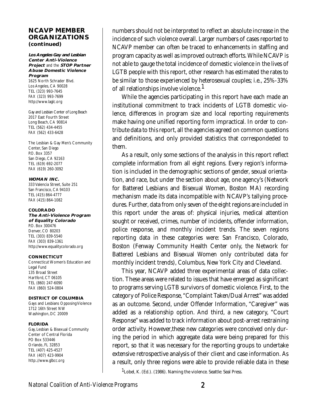### **NCAVP MEMBER ORGANIZATIONS (continued)**

#### **Los Angeles Gay and Lesbian Center Anti-Violence Project** and the **STOP Partner Abuse Domestic Violence Program**

1625 North Schrader Blvd. Los Angeles, CA 90028 TEL (323) 993-7645 FAX (323) 993-7699 http://www.laglc.org

Gay and Lesbian Center of Long Beach 2017 East Fourth Street Long Beach, CA 90814 TEL (562) 434-4455 FAX (562) 433-6428

The Lesbian & Gay Men's Community Center, San Diego P.O. Box 3357 San Diego, CA 92163 TEL (619) 692-2077 FAX (619) 260-3092

#### **WOMAN INC.**

333 Valencia Street, Suite 251 San Francisco, CA 94103 TEL (415) 864-4777 FAX (415) 864-1082

#### **COLORADO**

**The Anti-Violence Program of Equality Colorado** P.O. Box 300476 Denver, CO 80203 TEL (303) 839-5540 FAX (303) 839-1361 http://www.equalitycolorado.org

#### **CONNECTICUT**

Connecticut Women's Education and Legal Fund 135 Broad Street Hartford, CT 06105 TEL (860) 247-6090 FAX (860) 524-0804

#### **DISTRICT OF COLUMBIA**

Gays and Lesbians Opposing Violence 1712 16th Street NW Washington, DC 20009

#### **FLORIDA**

Gay, Lesbian & Bisexual Community Center of Central Florida PO Box 533446 Orlando, FL 32853 TEL (407) 425-4527 FAX (407) 423-9904 http:.//www.glbcc.org

numbers should not be interpreted to reflect an absolute increase in the incidence of such violence overall. Larger numbers of cases reported to NCAVP member can often be traced to enhancements in staffing and program capacity as well as improved outreach efforts. While NCAVP is not able to gauge the total incidence of domestic violence in the lives of LGTB people with this report, other research has estimated the rates to be similar to those experienced by heterosexual couples; i.e., 25%-33% of all relationships involve violence.<sup>1</sup>

While the agencies participating in this report have each made an institutional commitment to track incidents of LGTB domestic violence, differences in program size and local reporting requirements make having one unified reporting form impractical. In order to contribute data to this report, all the agencies agreed on common questions and definitions, and only provided statistics that correspondeded to them.

As a result, only some sections of the analysis in this report reflect complete information from all eight regions. Every region's information is included in the demographic sections of gender, sexual orientation, and race, but under the section about age, one agency's (Network for Battered Lesbians and Bisexual Women, Boston MA) recording mechanism made its data incompatible with NCAVP's tallying procedures. Further, data from only seven of the eight regions are included in this report under the areas of: physical injuries, medical attention sought or received, crimes, number of incidents, offender information, police response, and monthly incident trends. The seven regions reporting data in these categories were: San Francisco, Colorado, Boston (Fenway Community Health Center only, the Network for Battered Lesbians and Bisexual Women only contributed data for monthly incident trends), Columbus, New York City and Cleveland.

This year, NCAVP added three experimental areas of data collection. These areas were related to issues that have emerged as significant to programs serving LGTB survivors of domestic violence. First, to the category of Police Response, "Complaint Taken/Dual Arrest" was added as an outcome. Second, under Offender Information, "Caregiver" was added as a relationship option. And third, a new category, "Court Response" was added to track information about post-arrest restraining order activity. However,these new categories were conceived only during the period in which aggregate data were being prepared for this report, so that it was necessary for the reporting groups to undertake extensive retrospective analysis of their client and case information. As a result, only three regions were able to provide reliable data in these

1Lobel, K. (Ed.). (1986). Naming the violence. Seattle: Seal Press.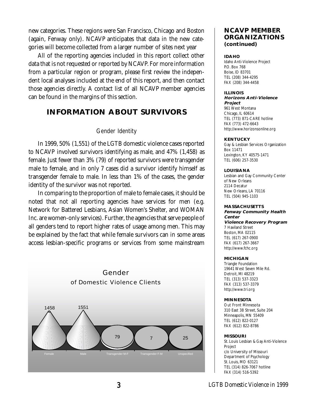new categories. These regions were San Francisco, Chicago and Boston (again, Fenway only). NCAVP anticipates that data in the new categories will become collected from a larger number of sites next year

All of the reporting agencies included in this report collect other data that is not requested or reported by NCAVP. For more information from a particular region or program, please first review the independent local analyses included at the end of this report, and then contact those agencies directly. A contact list of all NCAVP member agencies can be found in the margins of this section.

# **INFORMATION ABOUT SURVIVORS**

### Gender Identity

In 1999, 50% (1,551) of the LGTB domestic violence cases reported to NCAVP involved survivors identifying as male, and 47% (1,458) as female. Just fewer than 3% (79) of reported survivors were transgender male to female, and in only 7 cases did a survivor identify himself as transgender female to male. In less than 1% of the cases, the gender identity of the survivor was not reported.

In comparing to the proportion of male to female cases, it should be noted that not all reporting agencies have services for men (e.g. Network for Battered Lesbians, Asian Women's Shelter, and WOMAN Inc. are women-only services). Further, the agencies that serve people of all genders tend to report higher rates of usage among men. This may be explained by the fact that while female survivors can in some areas access lesbian-specific programs or services from some mainstream



## **NCAVP MEMBER ORGANIZATIONS (continued)**

### **IDAHO**

Idaho Anti-Violence Project P.O. Box 768 Boise, ID 83701 TEL (208) 344-4295 FAX (208) 344-4458

#### **ILLINOIS**

#### **Horizons Anti-Violence Project**

961 West Montana Chicago, IL 60614 TEL (773) 871-CARE hotline FAX (773) 472-6643 http://www.horizonsonline.org

### **KENTUCKY**

Gay & Lesbian Services Organization Box 11471 Lexington, KY 40575-1471 TEL (606) 257-3530

#### **LOUISIANA**

Lesbian and Gay Community Center of New Orleans 2114 Decatur New Orleans, LA 70116 TEL (504) 945-1103

### **MASSACHUSETTS**

#### **Fenway Community Health Center Violence Recovery Program**

7 Haviland Street Boston, MA 02115 TEL (617) 267-0900 FAX (617) 267-3667 http://www.fchc.org

### **MICHIGAN**

Triangle Foundation 19641 West Seven Mile Rd. Detroit, MI 48219 TEL (313) 537-3323 FAX (313) 537-3379 http://www.tri.org

#### **MINNESOTA**

Out Front Minnesota 310 East 38 Street, Suite 204 Minneapolis, MN 55409 TEL (612) 822-0127 FAX (612) 822-8786

### **MISSOURI**

St. Louis Lesbian & Gay Anti-Violence Project c/o University of Missouri Department of Psychology St. Louis, MO 63121 TEL (314) 826-7067 hotline FAX (314) 516-5392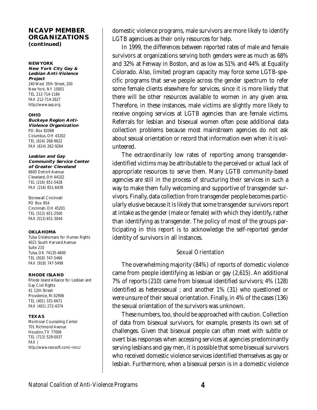### **NCAVP MEMBER ORGANIZATIONS (continued)**

#### **NEW YORK New York City Gay & Lesbian Anti-Violence Project**  240 West 35th Street, 200 New York, NY 10001 TEL 212-714-1184

FAX 212-714-2627 http://www.avp.org

FAX (614) 262-9264

#### **OHIO**

**Buckeye Region Anti-Violence Organization**  P.O. Box 82068 Columbus, OH 43202 TEL (614) 268-9622

#### **Lesbian and Gay Community Service Center of Greater Cleveland** 6600 Detroit Avenue Cleveland, OH 44102 TEL (216) 651-5428

Stonewall Cincinnati PO Box 954 Cincinnati, OH 45201 TEL (513) 651-2500 FAX (513) 651-3044

FAX (216) 651-6439

### **OKLAHOMA**

Tulsa Oklahomans for Human Rights 4021 South Harvard Avenue Suite 210 Tulsa, OK 74135-4600 TEL (918) 747-5466 FAX (918) 747-5499

### **RHODE ISLAND**

Rhode Island Alliance for Lesbian and Gay Civil Rights 41 12th Street Providence, RI 02906 TEL (401) 331-6671 FAX (401) 272-4374

### **TEXAS**

Montrose Counseling Center 701 Richmond Avenue Houston,TX 77006 TEL (713) 529-0037 FAX ( http://www.neosoft.com/~mcc/ domestic violence programs, male survivors are more likely to identify LGTB agenciues as their only resources for help.

In 1999, the differences between reported rates of male and female survivors at organizations serving both genders were as much as 68% and 32% at Fenway in Boston, and as low as 51% and 44% at Equality Colorado. Also, limited program capacity may force some LGTB-specific programs that serve people across the gender spectrum to refer some female clients elsewhere for services, since it is more likely that there will be other resources available to women in any given area. Therefore, in these instances, male victims are slightly more likely to receive ongoing services at LGTB agencies than are female victims. Referrals for lesbian and bisexual women often pose additional data collection problems because most mainstream agencies do not ask about sexual orientation or record that information even when it is volunteered.

The extraordinarily low rates of reporting among transgenderidentified victims may be attributable to the perceived or actual lack of appropriate resources to serve them. Many LGTB community-based agencies are still in the process of structuring their services in such a way to make them fully welcoming and supportive of transgender survivors. Finally, data collection from transgender people becomes particularly elusive because it is likely that some transgender survivors report at intake as the gender (male or female) with which they identify, rather than identifying as transgender. The policy of most of the groups participating in this report is to acknowledge the self-reported gender identity of survivors in all instances.

## Sexual Orientation

The overwhelming majority (84%) of reports of domestic violence came from people identifying as lesbian or gay (2,615). An additional 7% of reports (210) came from bisexual identified survivors; 4% (128) identified as heterosexual ; and another 1% (31) who questioned or were unsure of their sexual orientation. Finally, in 4% of the cases (136) the sexual orientation of the survivors was unknown.

These numbers, too, should be approached with caution. Collection of data from bisexual survivors, for example, presents its own set of challenges. Given that bisexual people can often meet with subtle or overt bias responses when accessing services at agencies predominantly serving lesbians and gay men, it is possible that some bisexual survivors who received domestic violence services identified themselves as gay or lesbian. Furthermore, when a bisexual person is in a domestic violence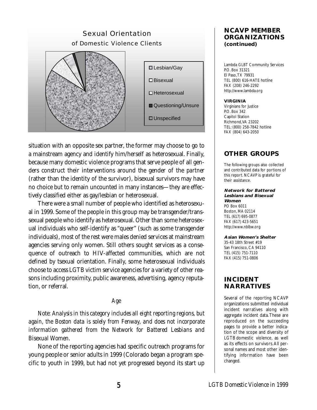

situation with an opposite sex partner, the former may choose to go to a mainstream agency and identify him/herself as heterosexual. Finally, because many domestic violence programs that serve people of all genders construct their interventions around the gender of the *partner* (rather than the identity of the survivor), bisexual survivors may have no choice but to remain uncounted in many instances—they are effectively classified either as gay/lesbian or heterosexual.

There were a small number of people who identified as heterosexual in 1999. Some of the people in this group may be transgender/transsexual people who identify as heterosexual. Other than some heterosexual individuals who self-identify as "queer" (such as some transgender individuals), most of the rest were males denied services at mainstream agencies serving only women. Still others sought services as a consequence of outreach to HIV-affected communities, which are not defined by tsexual orientation. Finally, some heterosexual individuals choose to access LGTB victim service agencies for a variety of other reasons including proximity, public awareness, advertising, agency reputation, or referral.

### Age

*Note: Analysis in this category includes all eight reporting regions, but again, the Boston data is solely from Fenway, and does not incorporate information gathered from the Network for Battered Lesbians and Bisexual Women.*

None of the reporting agencies had specific outreach programs for young people or senior adults in 1999 (Colorado began a program specific to youth in 1999, but had not yet progressed beyond its start up

## **NCAVP MEMBER ORGANIZATIONS (continued)**

Lambda GLBT Community Services P.O. Box 31321 El Paso,TX 79931 TEL (800) 616-HATE hotline FAX (208) 246-2292 http://www.lambda.org

### **VIRGINIA**

Virginians for Justice P.O. Box 342 Capitol Station Richmond,VA 23202 TEL: (800) 258-7842 hotline FAX (804) 643-2050

## **OTHER GROUPS**

The following groups also collected and contributed data for portions of this report. NCAVP is grateful for their assistance.

**Network for Battered Lesbians and Bisexual Women** PO Box 6011 Boston, MA 02114 TEL (617) 695-0877 FAX (617) 423-5651 http://www.nblbw.org

### **Asian Women's Shelter**

35-43 18th Street #19 San Francisco, CA 94110 TEL (415) 751-7110 FAX (415) 751-0806

## **INCIDENT NARRATIVES**

Several of the reporting NCAVP organizations submitted individual incident narratives along with aggregate incident data.These are reproduced on the succeeding pages to provide a better indication of the scope and diversity of LGTB domestic violence, as well as its effects on survivors.All personal names and most other identifying information have been changed.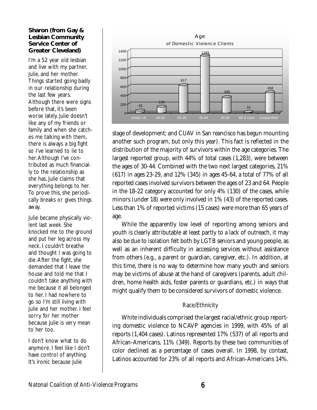### **Sharon (from Gay & Lesbian Community Service Center of Greater Cleveland)**

I'm a 52 year old lesbian and live with my partner, Julie, and her mother. Things started going badly in our relationship during the last few years. Although there were signs before that, it's been worse lately. Julie doesn't like any of my friends or family and when she catches me talking with them, there is always a big fight so I've learned to lie to her.Although I've contributed as much financially to the relationship as she has, Julie claims that everything belongs to her. To prove this, she periodically breaks or gives things away.

Julie became physically violent last week. She knocked me to the ground and put her leg across my neck. I couldn't breathe and thought I was going to die.After the fight, she demanded that I leave the house and told me that I couldn't take anything with me because it all belonged to her. I had nowhere to go so I'm still living with Julie and her mother. I feel sorry for her mother because Julie is very mean to her too.

I don't know what to do anymore. I feel like I don't have control of anything. It's ironic because Julie



stage of development; and CUAV in San reancisco has begun mounting another such program, but only this year). This fact is reflected in the distribution of the majority of survivors within the age categories. The largest reported group, with 44% of total cases (1,283), were between the ages of 30-44. Combined with the two next largest categories, 21% (617) in ages 23-29, and 12% (345) in ages 45-64, a total of 77% of all reported cases involved survivors between the ages of 23 and 64. People in the 18-22 category accounted for only 4% (130) of the cases, while minors (under 18) were only involved in 1% (43) of the reported cases. Less than 1% of reported victims (15 cases) were more than 65 years of age.

While the apparently low level of reporting among seniors and youth is clearly attributable at least partly to a lack of outreach, it may also be due to isolation felt both by LGTB seniors and young people, as well as an inherent difficulty in accessing services without assistance from others (e.g., a parent or guardian, caregiver, etc.). In addition, at this time, there is no way to determine how many youth and seniors may be victims of abuse at the hand of caregivers (parents, adult children, home health aids, foster parents or guardians, etc.) in ways that might qualify them to be considered survivors of domestic violence.

## Race/Ethnicity

White individuals comprised the largest racial/ethnic group reporting domestic violence to NCAVP agencies in 1999, with 45% of all reports (1,404 cases). Latinos represented 17% (537) of all reports and African-Americans, 11% (349). Reports by these two communities of color declined as a percentage of cases overall. In 1998, by contast, Latinos accounted for 23% of all reports and African-Americans 14%.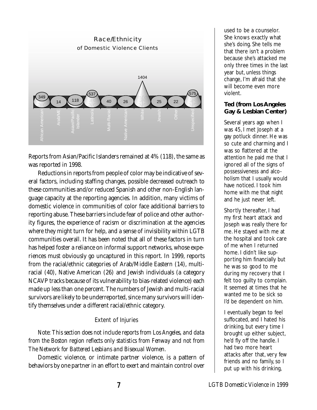

Reports from Asian/Pacific Islanders remained at 4% (118), the same as was reported in 1998.

Reductions in reports from people of color may be indicative of several factors, including staffing changes, possible decreased outreach to these communities and/or reduced Spanish and other non-English language capacity at the reporting agencies. In addition, many victims of domestic violence in communities of color face additional barriers to reporting abuse. These barriers include fear of police and other authority figures, the experience of racism or discrimination at the agencies where they might turn for help, and a sense of invisibility within LGTB communities overall. It has been noted that all of these factors in turn has helped foster a reliance on informal support networks, whose experiences must obviously go uncaptured in this report. In 1999, reports from the racial/ethnic categories of Arab/Middle Eastern (14), multiracial (40), Native American (26) and Jewish individuals (a category NCAVP tracks because of its vulnerability to bias-related violence) each made up less than one percent. The numbers of Jewish and multi-racial survivors are likely to be underreported, since many survivors will identify themselves under a different racial/ethnic category.

## Extent of Injuries

*Note: This section does not include reports from Los Angeles, and data from the Boston region reflects only statistics from Fenway and not from The Network for Battered Lesbians and Bisexual Women.*

Domestic violence, or intimate partner violence, is a pattern of behaviors by one partner in an effort to exert and maintain control over

used to be a counselor. She knows exactly what she's doing. She tells me that there isn't a problem because she's attacked me only three times in the last year but, unless things change, I'm afraid that she will become even more violent.

## **Ted (from Los Angeles Gay & Lesbian Center)**

Several years ago when I was 45, I met Joseph at a gay potluck dinner. He was so cute and charming and I was so flattered at the attention he paid me that I ignored all of the signs of possessiveness and alcoholism that I usually would have noticed. I took him home with me that night and he just never left.

Shortly thereafter, I had my first heart attack and Joseph was really there for me. He stayed with me at the hospital and took care of me when I returned home. I didn't like supporting him financially but he was so good to me during my recovery that I felt too guilty to complain. It seemed at times that he wanted me to be sick so I'd be dependent on him.

I eventually began to feel suffocated, and I hated his drinking, but every time I brought up either subject, he'd fly off the handle. I had two more heart attacks after that, very few friends and no family, so I put up with his drinking,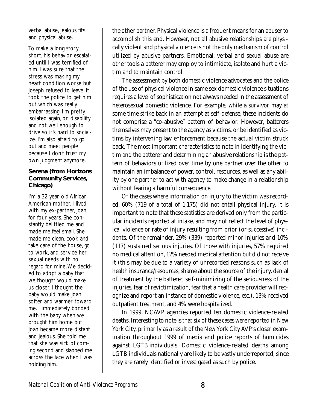verbal abuse, jealous fits and physical abuse.

To make a long story short, his behavior escalated until I was terrified of him. I was sure that the stress was making my heart condition worse but Joseph refused to leave. It took the police to get him out which was really embarrassing. I'm pretty isolated again, on disability and not well enough to drive so it's hard to socialize. I'm also afraid to go out and meet people because I don't trust my own judgment anymore.

### **Serena (from Horizons Community Services, Chicago)**

I'm a 32 year old African American mother. I lived with my ex-partner, Joan, for four years. She constantly belittled me and made me feel small. She made me clean, cook and take care of the house, go to work, and service her sexual needs with no regard for mine.We decided to adopt a baby that we thought would make us closer. I thought the baby would make Joan softer and warmer toward me. I immediately bonded with the baby when we brought him home but Joan became more distant and jealous. She told me that she was sick of coming second and slapped me across the face when I was holding him.

the other partner. Physical violence is a frequent means for an abuser to accomplish this end. However, not all abusive relationships are physically violent and physical violence is not the only mechanism of control utilized by abusive partners. Emotional, verbal and sexual abuse are other tools a batterer may employ to intimidate, isolate and hurt a victim and to maintain control.

The assessment by both domestic violence advocates and the police of the use of physical violence in same sex domestic violence situations requires a level of sophistication not always needed in the assessment of heterosexual domestic violence. For example, while a survivor may at some time strike back in an attempt at self-defense, these incidents do not comprise a "co-abusive" pattern of behavior. However, batterers themselves may present to the agency as victims, or be identified as victims by intervening law enforcement because the actual victim struck back. The most important characteristics to note in identifying the victim and the batterer and determining an abusive relationship is the pattern of behaviors utilized over time by one partner over the other to maintain an imbalance of power, control, resources, as well as any ability by one partner to act with agency to make change in a relationship without fearing a harmful consequence.

Of the cases where information on injury to the victim was recorded, 60% (719 of a total of 1,175) did not entail physical injury. It is important to note that these statistics are derived only from the particular incidents reported *at intake*, and may not reflect the level of physical violence or rate of injury resulting from prior (or successive) incidents. Of the remainder, 29% (339) reported minor injuries and 10% (117) sustained serious injuries. Of those with injuries, 57% required no medical attention, 12% needed medical attention but did not receive it (this may be due to a variety of unrecorded reasons such as lack of health insurance/resources, shame about the source of the injury, denial of treatment by the batterer, self-minimizing of the seriousness of the injuries, fear of revictimization, fear that a health care provider will recognize and report an instance of domestic violence, etc.), 13% received outpatient treatment, and 4% were hospitalized.

In 1999, NCAVP agencies reported ten domestic violence-related deaths. Interesting to note is that six of these cases were reported in New York City, primarily as a result of the New York City AVP's closer examination throughout 1999 of media and police reports of homicides against LGTB individuals. Domestic violence-related deaths among LGTB individuals nationally are likely to be vastly underreported, since they are rarely identified or investigated as such by police.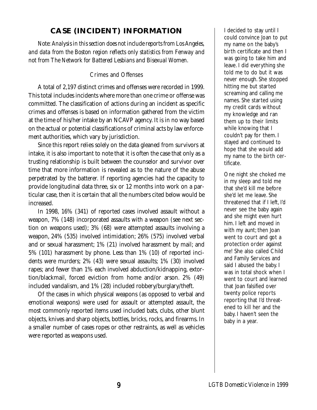# **CASE (INCIDENT) INFORMATION**

*Note: Analysis in this section does not include reports from Los Angeles, and data from the Boston region reflects only statistics from Fenway and not from The Network for Battered Lesbians and Bisexual Women.*

## Crimes and Offenses

A total of 2,197 distinct crimes and offenses were recorded in 1999. This total includes incidents where more than one crime or offense was committed. The classification of actions during an incident as specific crimes and offenses is based on information gathered from the victim at the time of his/her intake by an NCAVP agency. It is in no way based on the actual or potential classifications of criminal acts by law enforcement authorities, which vary by jurisdiction.

Since this report relies solely on the data gleaned from survivors at intake, it is also important to note that it is often the case that only as a trusting relationship is built between the counselor and survivor over time that more information is revealed as to the nature of the abuse perpetrated by the batterer. If reporting agencies had the capacity to provide longitudinal data three, six or 12 months into work on a particular case, then it is certain that all the numbers cited below would be increased.

In 1998, 16% (341) of reported cases involved assault without a weapon, 7% (148) incorporated assaults with a weapon (see next section on weapons used); 3% (68) were attempted assaults involving a weapon, 24% (535) involved intimidation; 26% (575) involved verbal and or sexual harassment; 1% (21) involved harassment by mail; and 5% (101) harassment by phone. Less than 1% (10) of reported incidents were murders; 2% (43) were sexual assaults; 1% (30) involved rapes; and fewer than 1% each involved abduction/kidnapping, extortion/blackmail, forced eviction from home and/or arson. 2% (49) included vandalism, and 1% (28) included robbery/burglary/theft.

Of the cases in which physical weapons (as opposed to verbal and emotional weapons) were used for assault or attempted assault, the most commonly reported items used included bats, clubs, other blunt objects, knives and sharp objects, bottles, bricks, rocks, and firearms. In a smaller number of cases ropes or other restraints, as well as vehicles were reported as weapons used.

I decided to stay until I could convince Joan to put my name on the baby's birth certificate and then I was going to take him and leave. I did everything she told me to do but it was never enough. She stopped hitting me but started screaming and calling me names. She started using my credit cards without my knowledge and ran them up to their limits while knowing that I couldn't pay for them. I stayed and continued to hope that she would add my name to the birth certificate.

One night she choked me in my sleep and told me that she'd kill me before she'd let me leave. She threatened that if I left, I'd never see the baby again and she might even hurt him. I left and moved in with my aunt; then Joan went to court and got a protection order against *me*! She also called Child and Family Services and said I abused the baby. I was in total shock when I went to court and learned that Joan falsified over twenty police reports reporting that I'd threatened to kill her and the baby. I haven't seen the baby in a year.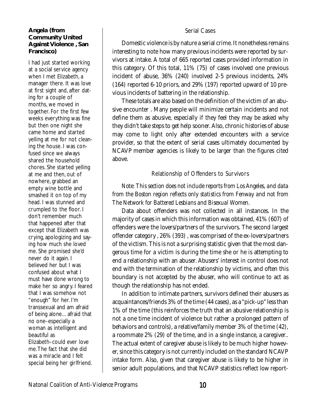## **Angela (from Community United Against Violence , San Francisco)**

I had just started working at a social service agency when I met Elizabeth, a manager there. It was love at first sight and, after dating for a couple of months, we moved in together. For the first few weeks everything was fine but then one night she came home and started yelling at me for not cleaning the house. I was confused since we always shared the household chores. She started yelling at me and then, out of nowhere, grabbed an empty wine bottle and smashed it on top of my head. I was stunned and crumpled to the floor. I don't remember much that happened after that except that Elizabeth was crying, apologizing and saying how much she loved me. She promised she'd never do it again. I believed her but I was confused about what I must have done wrong to make her so angry. I feared that I was somehow not "enough" for her. I'm transsexual and am afraid of being alone…afraid that no one–especially a woman as intelligent and beautiful as Elizabeth–could ever love me.The fact that she did was a miracle and I felt special being her girlfriend.

## Serial Cases

Domestic violence is by nature a serial crime. It nonetheless remains interesting to note how many previous incidents were reported by survivors at intake. A total of 665 reported cases provided information in this category. Of this total, 11% (75) of cases involved one previous incident of abuse, 36% (240) involved 2-5 previous incidents, 24% (164) reported 6-10 priors, and 29% (197) reported upward of 10 previous incidents of battering in the relationship.

These totals are also based on the definition of the victim of an abusive encounter . Many people will minimize certain incidents and not define them as abusive, especially if they feel they may be asked why they didn't take steps to get help sooner. Also, chronic histories of abuse may come to light only after extended encounters with a service provider, so that the extent of serial cases ultimately documented by NCAVP member agencies is likely to be larger than the figures cited above.

## Relationship of Offenders to Survivors

## *Note: This section does not include reports from Los Angeles, and data from the Boston region reflects only statistics from Fenway and not from The Network for Battered Lesbians and Bisexual Women.*

Data about offenders was not collected in all instances. In the majority of cases in which this information was obtained, 41% (607) of offenders were the lovers/partners of the survivors. The second largest offender category , 26% (393) , was comprised of the *ex*-lovers/partners of the victism. This is not a surprising statistic given that the most dangerous time for a victim is during the time she or he is attempting to end a relationship with an abuser. Abusers' interest in control does not end with the termination of the relationship by victims, and often this boundary is not accepted by the abuser, who will continue to act as though the relationship has not ended.

In addition to intimate partners, survivors defined their abusers as acquaintances/friends 3% of the time (44 cases), as a "pick-up" less than 1% of the time (this reinforces the truth that an abusive relationship is not a one time incident of violence but rather a prolonged pattern of behaviors and controls), a relative/family member 3% of the time (42), a roommate 2% (29) of the time, and in a single instance, a caregiver.. The actual extent of caregiver abuse is likely to be much higher however, since this category is not currently included on the standard NCAVP intake form. Also, given that caregiver abuse is likely to be higher in senior adult populations, and that NCAVP statistics reflect low report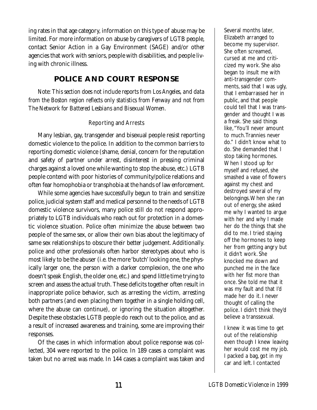ing rates in that age category, information on this type of abuse may be limited. For more information on abuse by caregivers of LGTB people, contact Senior Action in a Gay Environment (SAGE) and/or other agencies that work with seniors, people with disabilities, and people living with chronic illness.

# **POLICE AND COURT RESPONSE**

*Note*: *This section does not include reports from Los Angeles, and data from the Boston region reflects only statistics from Fenway and not from The Network for Battered Lesbians and Bisexual Women.*

## Reporting and Arrests

Many lesbian, gay, transgender and bisexual people resist reporting domestic violence to the police. In addition to the common barriers to reporting domestic violence (shame, denial, concern for the reputation and safety of partner under arrest, disinterest in pressing criminal charges against a loved one while wanting to stop the abuse, etc.) LGTB people contend with poor histories of community/police relations and often fear homophobia or transphobia at the hands of law enforcement.

While some agencies have successfully begun to train and sensitize police, judicial system staff and medical personnel to the needs of LGTB domestic violence survivors, many police still do not respond appropriately to LGTB individuals who reach out for protection in a domestic violence situation. Police often minimize the abuse between two people of the same sex, or allow their own bias about the legitimacy of same sex relationships to obscure their better judgement. Additionally. police and other professionals often harbor stereotypes about who is most likely to be the abuser (i.e. the more 'butch' looking one, the physically larger one, the person with a darker complexion, the one who doesn't speak English, the older one, etc.) and spend little time trying to screen and assess the actual truth. These deficits together often result in inappropriate police behavior, such as arresting the victim, arresting both partners (and even placing them together in a single holding cell, where the abuse can continue), or ignoring the situation altogether. Despite these obstacles LGTB people do reach out to the police, and as a result of increased awareness and training, some are improving their responses.

Of the cases in which information about police response was collected, 304 were reported to the police. In 189 cases a complaint was taken but no arrest was made. In 144 cases a complaint was taken and

Several months later, Elizabeth arranged to become my supervisor. She often screamed, cursed at me and criticized my work. She also began to insult me with anti-transgender comments, said that I was ugly, that I embarrassed her in public, and that people could tell that I was transgender and thought I was a freak. She said things like,"You'll never amount to much.Trannies never do." I didn't know what to do. She demanded that I stop taking hormones. When I stood up for myself and refused, she smashed a vase of flowers against my chest and destroyed several of my belongings.When she ran out of energy, she asked me why I wanted to argue with her and why I made her do the things that she did to me. I tried staying off the hormones to keep her from getting angry but it didn't work. She knocked me down and punched me in the face with her fist more than once. She told me that it was my fault and that I'd made her do it. I never thought of calling the police. I didn't think they'd believe a transsexual.

I knew it was time to get out of the relationship even though I knew leaving her would cost me my job. I packed a bag, got in my car and left. I contacted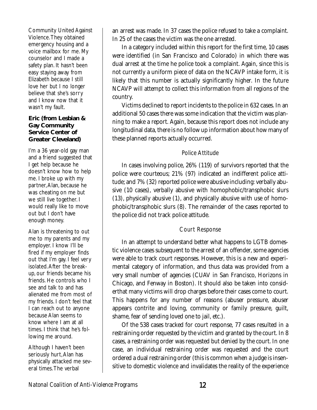Community United Against Violence.They obtained emergency housing and a voice mailbox for me. My counselor and I made a safety plan. It hasn't been easy staying away from Elizabeth because I still love her but I no longer believe that she's sorry and I know now that it wasn't my fault.

## **Eric (from Lesbian & Gay Community Service Center of Greater Cleveland)**

I'm a 36 year-old gay man and a friend suggested that I get help because he doesn't know how to help me. I broke up with my partner,Alan, because he was cheating on me but we still live together. I would really like to move out but I don't have enough money.

Alan is threatening to out me to my parents and my employer. I know I'll be fired if my employer finds out that I'm gay. I feel very isolated.After the breakup, our friends became his friends. He controls who I see and talk to and has alienated me from most of my friends. I don't feel that I can reach out to anyone because Alan seems to know where I am at all times. I think that he's following me around.

Although I haven't been seriously hurt, Alan has physically attacked me several times.The verbal

an arrest was made. In 37 cases the police refused to take a complaint. In 25 of the cases the victim was the one arrested.

In a category included within this report for the first time, 10 cases were identified (in San Francisco and Colorado) in which there was dual arrest at the time he police took a complaint. Again, since this is not currently a uniform piece of data on the NCAVP intake form, it is likely that this number is actually significantly higher. In the future NCAVP will attempt to collect this information from all regions of the country.

Victims declined to report incidents to the police in 632 cases. In an additional 50 cases there was some indication that the victim was planning to make a report. Again, because this report does not include any longitudinal data, there is no follow up information about how many of these planned reports actually occurred.

## Police Attitude

In cases involving police, 26% (119) of survivors reported that the police were courteous; 21% (97) indicated an indifferent police attitude; and 7% (32) reported police were abusive including: verbally abusive (10 cases), verbally abusive with homophobic/transphobic slurs (13), physically abusive (1), and physically abusive with use of homophobic/transphobic slurs (8). The remainder of the cases reported to the police did not track police attitude.

## Court Response

In an attempt to understand better what happens to LGTB domestic violence cases subsequent to the arrest of an offender, some agencies were able to track court responses. However, this is a new and experimental category of information, and thus data was provided from a very small number of agencies (CUAV in San Francisco, Horizons in Chicago, and Fenway in Boston). It should also be taken into considerthat many victims will drop charges before their cases come to court. This happens for any number of reasons (abuser pressure, abuser appears contrite and loving, community or family pressure, guilt, shame, fear of sending loved one to jail, etc.).

Of the 538 cases tracked for court response, 77 cases resulted in a restraining order requested by the victim and granted by the court. In 8 cases, a restraining order was requested but denied by the court. In one case, an individual restraining order was requested and the court ordered a dual restraining order (this is common when a judge is insensitive to domestic violence and invalidates the reality of the experience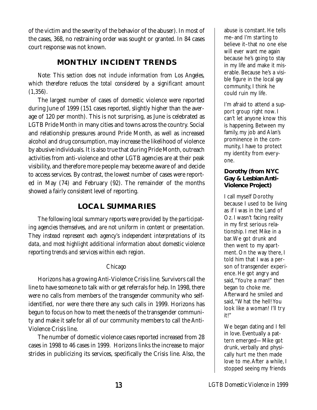of the victim and the severity of the behavior of the abuser). In most of the cases, 368, no restraining order was sought or granted. In 84 cases court response was not known.

# **MONTHLY INCIDENT TRENDS**

*Note: This section does not include information from Los Angeles, which therefore reduces the total considered by a significant amount (1,356).*

The largest number of cases of domestic violence were reported during June of 1999 (151 cases reported, slightly higher than the average of 120 per month). This is not surprising, as June is celebrated as LGTB Pride Month in many cities and towns across the country. Social and relationship pressures around Pride Month, as well as increased alcohol and drug consumption, may increase the likelihood of violence by abusive individuals. It is also true that during Pride Month, outreach activities from anti-violence and other LGTB agencies are at their peak visibility, and therefore more people may beceome aware of and decide to access services. By contrast, the lowest number of cases were reported in May (74) and February (92). The remainder of the months showed a fairly consistent level of reporting.

## **LOCAL SUMMARIES**

*The following local summary reports were provided by the participating agencies themselves, and are not uniform in content or presentation. They instead represent each agency's independent interpretations of its data, and most highlight additional information about domestic violence reporting trends and services within each region.*

### Chicago

Horizons has a growing Anti-Violence Crisis line. Survivors call the line to have someone to talk with or get referrals for help. In 1998, there were no calls from members of the transgender community who selfidentified, nor were there there any such calls in 1999. Horizons has begun to focus on how to meet the needs of the transgender community and make it safe for all of our community members to call the Anti-Violence Crisis line.

The number of domestic violence cases reported increased from 28 cases in 1998 to 46 cases in 1999. Horizons links the increase to major strides in publicizing its services, specifically the Crisis line. Also, the

abuse is constant. He tells me–and I'm starting to believe it–that no one else will ever want me again because he's going to stay in my life and make it miserable. Because he's a visible figure in the local gay community, I think he could ruin my life.

I'm afraid to attend a support group right now. I can't let anyone know this is happening. Between my family, my job and Alan's prominence in the community, I have to protect my identity from everyone.

## **Dorothy (from NYC Gay & Lesbian Anti-Violence Project)**

I call myself Dorothy because I used to be living as if I was in the Land of Oz. I wasn't facing reality in my first serious relationship. I met Mike in a bar.We got drunk and then went to my apartment. On the way there, I told him that I was a person of transgender experience. He got angry and said,"You're a man!" then began to choke me. Afterward he smiled and said,"What the hell! You look like a woman! I'll try it!"

We began dating and I fell in love. Eventually a pattern emerged—Mike got drunk, verbally and physically hurt me then made love to me.After a while, I stopped seeing my friends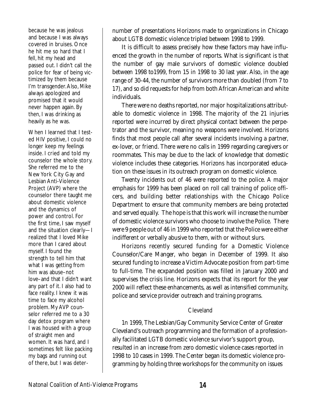because he was jealous and because I was always covered in bruises. Once he hit me so hard that I fell, hit my head and passed out. I didn't call the police for fear of being victimized by them because I'm transgender.Also, Mike always apologized and promised that it would never happen again. By then, I was drinking as heavily as he was.

When I learned that I tested HIV positive, I could no longer keep my feelings inside. I cried and told my counselor the whole story. She referred me to the New York City Gay and Lesbian Anti-Violence Project (AVP) where the counselor there taught me about domestic violence and the dynamics of power and control. For the first time, I saw myself and the situation clearly—I realized that I loved Mike more than I cared about myself. I found the strength to tell him that what I was getting from him was abuse–not love–and that I didn't want any part of it. I also had to face reality. I knew it was time to face my alcohol problem. My AVP counselor referred me to a 30 day detox program where I was housed with a group of straight men and women. It was hard, and I sometimes felt like packing my bags and running out of there, but I was deternumber of presentations Horizons made to organizations in Chicago about LGTB domestic violence tripled between 1998 to 1999.

It is difficult to assess precisely how these factors may have influenced the growth in the number of reports. What is significant is that the number of gay male survivors of domestic violence doubled between 1998 to1999, from 15 in 1998 to 30 last year. Also, in the age range of 30-44, the number of survivors more than doubled (from 7 to 17), and so did requests for help from both African American and white individuals.

There were no deaths reported, nor major hospitalizations attributable to domestic violence in 1998. The majority of the 21 injuries reported were incurred by direct physical contact between the perpetrator and the survivor, meaning no weapons were involved. Horizons finds that most people call after several incidents involving a partner, ex-lover, or friend. There were no calls in 1999 regarding caregivers or roommates. This may be due to the lack of knowledge that domestic violence includes these categories. Horizons has incorporated education on these issues in its outreach program on domestic violence.

Twenty incidents out of 46 were reported to the police. A major emphasis for 1999 has been placed on roll call training of police officers, and building better relationships with the Chicago Police Department to ensure that community members are being protected and served equally. The hope is that this work will increase the number of domestic violence survivors who choose to involve the Police. There were 9 people out of 46 in 1999 who reported that the Police were either indifferent or verbally abusive to them, with or without slurs.

Horizons recently secured funding for a Domestic Violence Counselor/Care Manger, who began in December of 1999. It also secured funding to increase a Victim Advocate position from part-time to full-time. The ecxpanded position was filled in January 2000 and supervises the crisis line. Horizons expects that its report for the year 2000 will reflect these enhancements, as well as intensified community, police and service provider outreach and training programs.

### Cleveland

1n 1999, The Lesbian/Gay Community Service Center of Greater Cleveland's outreach programming and the formation of a professionally facilitated LGTB domestic violence survivor's support group, resulted in an increase from zero domestic violence cases reported in 1998 to 10 cases in 1999. The Center began its domestic violence programming by holding three workshops for the community on issues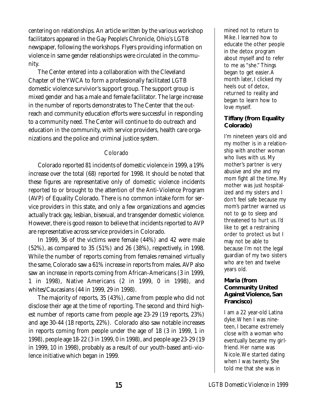centering on relationships. An article written by the various workshop facilitators appeared in the Gay People's Chronicle, Ohio's LGTB newspaper, following the workshops. Flyers providing information on violence in same gender relationships were circulated in the community.

The Center entered into a collaboration with the Cleveland Chapter of the YWCA to form a professionally facilitated LGTB domestic violence survivior's support group. The support group is mixed gender and has a male and female facilitator. The large increase in the number of reports demonstrates to The Center that the outreach and community education efforts were successful in responding to a community need. The Center will continue to do outreach and education in the community, with service providers, health care organizations and the police and criminal justice system.

### Colorado

Colorado reported 81 incidents of domestic violence in 1999, a 19% increase over the total (68) reported for 1998. It should be noted that these figures are representative only of domestic violence incidents reported to or brought to the attention of the Anti-Violence Program (AVP) of Equality Colorado. There is no common intake form for service providers in this state, and only a few organizations and agencies actually track gay, lesbian, bisexual, and transgender domestic violence. However, there is good reason to believe that incidents reported to AVP are representative across service providers in Colorado.

In 1999, 36 of the victims were female (44%) and 42 were male (52%), as compared to 35 (51%) and 26 (38%), respectively, in 1998. While the number of reports coming from females remained virtually the same, Colorado saw a 61% increase in reports from males. AVP also saw an increase in reports coming from African-Americans (3 in 1999, 1 in 1998), Native Americans (2 in 1999, 0 in 1998), and whites/Caucasians (44 in 1999, 29 in 1998).

The majority of reports, 35 (43%), came from people who did not disclose their age at the time of reporting. The second and third highest number of reports came from people age 23-29 (19 reports, 23%) and age 30-44 (18 reports, 22%). Colorado also saw notable increases in reports coming from people under the age of 18 (3 in 1999, 1 in 1998), people age 18-22 (3 in 1999, 0 in 1998), and people age 23-29 (19 in 1999, 10 in 1998), probably as a result of our youth-based anti-violence initiative which began in 1999.

mined not to return to Mike. I learned how to educate the other people in the detox program about myself and to refer to me as "she." Things began to get easier.A month later, I clicked my heels out of detox, returned to reality and began to learn how to love myself.

## **Tiffany (from Equality Colorado)**

I'm nineteen years old and my mother is in a relationship with another woman who lives with us. My mother's partner is very abusive and she and my mom fight all the time. My mother was just hospitalized and my sisters and I don't feel safe because my mom's partner warned us not to go to sleep and threatened to hurt us. I'd like to get a restraining order to protect us but I may not be able to because I'm not the legal guardian of my two sisters who are ten and twelve years old.

## **Maria (from Community United Against Violence, San Francisco)**

I am a 22 year-old Latina dyke.When I was nineteen, I became extremely close with a woman who eventually became my girlfriend. Her name was Nicole.We started dating when I was twenty. She told me that she was in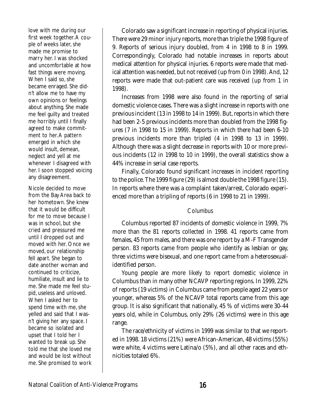love with me during our first week together.A couple of weeks later, she made me promise to marry her. I was shocked and uncomfortable at how fast things were moving. When I said so, she became enraged. She didn't allow me to have my own opinions or feelings about anything. She made me feel guilty and treated me horribly until I finally agreed to make commitment to her.A pattern emerged in which she would insult, demean, neglect and yell at me whenever I disagreed with her. I soon stopped voicing any disagreement.

Nicole decided to move from the Bay Area back to her hometown. She knew that it would be difficult for me to move because I was in school, but she cried and pressured me until I dropped out and moved with her. Once we moved, our relationship fell apart. She began to date another woman and continued to criticize, humiliate, insult and lie to me. She made me feel stupid, useless and unloved. When I asked her to spend time with me, she yelled and said that I wasn't giving her any space. I became so isolated and upset that I told her I wanted to break up. She told me that she loved me and would be lost without me. She promised to work

Colorado saw a significant increase in reporting of physical injuries. There were 29 minor injury reports, more than triple the 1998 figure of 9. Reports of serious injury doubled, from 4 in 1998 to 8 in 1999. Correspondingly, Colorado had notable increases in reports about medical attention for physical injuries. 6 reports were made that medical attention was needed, but not received (up from 0 in 1998). And, 12 reports were made that out-patient care was received (up from 1 in 1998).

Increases from 1998 were also found in the reporting of serial domestic violence cases. There was a slight increase in reports with one previous incident (13 in 1998 to 14 in 1999). But, reports in which there had been 2-5 previous incidents more than doubled from the 1998 figures (7 in 1998 to 15 in 1999). Reports in which there had been 6-10 previous incidents more than tripled (4 in 1998 to 13 in 1999). Although there was a slight decrease in reports with 10 or more previous incidents (12 in 1998 to 10 in 1999), the overall statistics show a 44% increase in serial case reports.

Finally, Colorado found significant increases in incident reporting to the police. The 1999 figure (29) is almost double the 1998 figure (15). In reports where there was a complaint taken/arrest, Colorado experienced more than a tripling of reports (6 in 1998 to 21 in 1999).

## Columbus

Columbus reported 87 incidents of domestic violence in 1999, 7% more than the 81 reports collected in 1998. 41 reports came from females, 45 from males, and there was one report by a M-F Transgender person. 83 reports came from people who identify as lesbian or gay, three victims were bisexual, and one report came from a heterosexualidentified person.

Young people are more likely to report domestic violence in Columbus than in many other NCAVP reporting regions. In 1999, 22% of reports (19 victims) in Columbus came from people aged 22 years or younger, whereas 5% of the NCAVP total reports came from this age group. It is also significant that nationally, 45 % of victims were 30-44 years old, while in Columbus, only 29% (26 victims) were in this age range.

The race/ethnicity of victims in 1999 was similar to that we reported in 1998. 18 victims (21%) were African-American, 48 victims (55%) were white, 4 victims were Latina/o (5%), and all other races and ethnicities totaled 6%.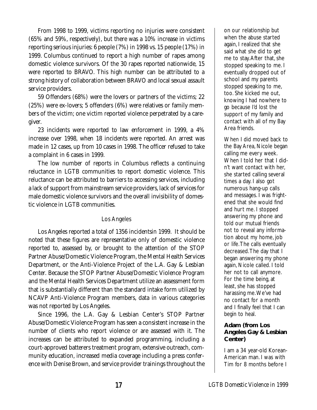From 1998 to 1999, victims reporting no injuries were consistent (65% and 59%, respectively), but there was a 10% increase in victims reporting serious injuries: 6 people (7%) in 1998 vs. 15 people (17%) in 1999. Columbus continued to report a high number of rapes among domestic violence survivors. Of the 30 rapes reported nationwide, 15 were reported to BRAVO. This high number can be attributed to a strong history of collaboration between BRAVO and local sexual assault service providers.

59 Offenders (68%) were the lovers or partners of the victims; 22 (25%) were ex-lovers; 5 offenders (6%) were relatives or family members of the victim; one victim reported violence perpetrated by a caregiver.

23 incidents were reported to law enforcement in 1999, a 4% increase over 1998, when 18 incidents were reported. An arrest was made in 12 cases, up from 10 cases in 1998. The officer refused to take a complaint in 6 cases in 1999.

The low number of reports in Columbus reflects a continuing reluctance in LGTB communities to report domestic violence. This reluctance can be attributed to barriers to accessing services, including a lack of support from mainstream service providers, lack of services for male domestic violence survivors and the overall invisibility of domestic violence in LGTB communities.

## Los Angeles

Los Angeles reported a total of 1356 incidentsin 1999. It should be noted that these figures are representative only of domestic violence reported to, assessed by, or brought to the attention of the STOP Partner Abuse/Domestic Violence Program, the Mental Health Services Department, or the Anti-Violence Project of the L.A. Gay & Lesbian Center. Because the STOP Partner Abuse/Domestic Violence Program and the Mental Health Services Department utilize an assessment form that is substantially different than the standard intake form utilized by NCAVP Anti-Violence Program members, data in various categories was not reported by Los Angeles.

Since 1996, the L.A. Gay & Lesbian Center's STOP Partner Abuse/Domestic Violence Program has seen a consistent increase in the number of clients who report violence or are assessed with it. The increases can be attributed to expanded programming, including a court-approved batterers treatment program, extensive outreach, community education, increased media coverage including a press conference with Denise Brown, and service provider trainings throughout the

on our relationship but when the abuse started again, I realized that she said what she did to get me to stay.After that, she stopped speaking to me. I eventually dropped out of school and my parents stopped speaking to me, too. She kicked me out, knowing I had nowhere to go because I'd lost the support of my family and contact with all of my Bay Area friends.

When I did moved back to the Bay Area, Nicole began calling me every week. When I told her that I didn't want contact with her, she started calling several times a day. I also got numerous hang-up calls and messages. I was frightened that she would find and hurt me. I stopped answering my phone and told our mutual friends not to reveal any information about my home, job or life.The calls eventually decreased.The day that I began answering my phone again, Nicole called. I told her not to call anymore. For the time being, at least, she has stopped harassing me.We've had no contact for a month and I finally feel that I can begin to heal.

### **Adam (from Los Angeles Gay & Lesbian Center)**

I am a 34 year-old Korean-American man. I was with Tim for 8 months before I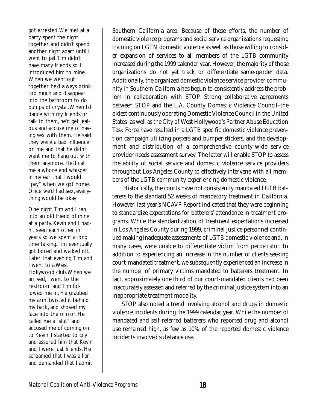got arrested.We met at a party, spent the night together, and didn't spend another night apart until I went to jail.Tim didn't have many friends so I introduced him to mine. When we went out together, he'd always drink too much and disappear into the bathroom to do bumps of crystal.When I'd dance with my friends or talk to them, he'd get jealous and accuse me of having sex with them. He said they were a bad influence on me and that he didn't want me to hang out with them anymore. He'd call me a whore and whisper in my ear that I would "pay" when we got home. Once we'd had sex, everything would be okay

One night, Tim and I ran into an old friend of mine at a party. Kevin and I hadn't seen each other in years so we spent a long time talking.Tim eventually got bored and walked off. Later that evening,Tim and I went to a West Hollywood club.When we arrived, I went to the restroom and Tim followed me in. He grabbed my arm, twisted it behind my back, and shoved my face into the mirror. He called me a "slut" and accused me of coming on to Kevin. I started to cry and assured him that Kevin and I were just friends. He screamed that I was a liar and demanded that I admit Southern California area. Because of these efforts, the number of domestic violence programs and social service organizations requesting training on LGTN domestic violence as well as those willing to consider expansion of services to all members of the LGTB community increased during the 1999 calendar year. However, the majority of those organizations do not yet track or differentiate same-gender data. Additionally, the organized domestic violence service provider community in Southern California has begun to consistently address the problem in collaboration with STOP. Strong collaborative agreements between STOP and the L.A. County Domestic Violence Council–the oldest continuously operating Domestic Violence Council in the United States–as well as the City of West Hollywood's Partner Abuse Education Task Force have resulted in a LGTB specific domestic violence prevention campaign utilizing posters and bumper stickers, and the development and distribution of a comprehensive county-wide service provider needs assessment survey. The latter will enable STOP to assess the ability of social service and domestic violence service providers throughout Los Angeles County to effectively intervene with all members of the LGTB community experiencing domestic violence.

Historically, the courts have not consistently mandated LGTB batterers to the standard 52 weeks of mandatory treatment in California. However, last year's NCAVP Report indicated that they were beginning to standardize expectations for batterers' attendance in treatment programs. While the standardization of treatment expectations increased in Los Angeles County during 1999, criminal justice personnel continued making inadequate assessments of LGTB domestic violence and, in many cases, were unable to differentiate victim from perpetrator. In addition to experiencing an increase in the number of clients seeking court-mandated treatment, we subsequently experienced an increase in the number of primary victims mandated to batterers treatment. In fact, approximately one third of our court-mandated clients had been inaccurately assessed and referred by the criminal justice system into an inappropriate treatment modality.

STOP also noted a trend involving alcohol and drugs in domestic violence incidents during the 1999 calendar year. While the number of mandated and self-referred batterers who reported drug and alcohol use remained high, as few as 10% of the reported domestic violence incidents involved substance use.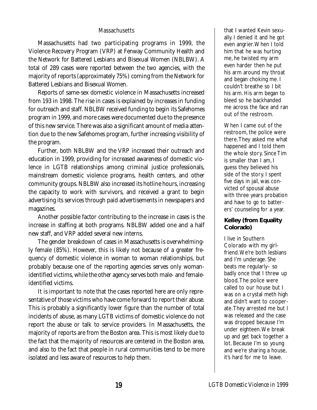### **Massachusetts**

Massachusetts had two participating programs in 1999, the Violence Recovery Program (VRP) at Fenway Community Health and the Network for Battered Lesbians and Bisexual Women (NBLBW). A total of 289 cases were reported between the two agencies, with the majority of reports (approximately 75%) coming from the Network for Battered Lesbians and Bisexual Women.

Reports of same-sex domestic violence in Massachusetts increased from 193 in 1998. The rise in cases is explained by increases in funding for outreach and staff. NBLBW received funding to begin its Safehomes program in 1999, and more cases were documented due to the presence of this new service. There was also a significant amount of media attention due to the new Safehomes program, further increasing visibility of the program.

Further, both NBLBW and the VRP increased their outreach and education in 1999, providing for increased awareness of domestic violence in LGTB relationships among criminal justice professionals, mainstream domestic violence programs, health centers, and other community groups. NBLBW also increased its hotline hours, increasing the capacity to work with survivors, and received a grant to begin advertising its services through paid advertisements in newspapers and magazines.

Another possible factor contributing to the increase in cases is the increase in staffing at both programs. NBLBW added one and a half new staff, and VRP added several new interns.

The gender breakdown of cases in Massachusetts is overwhelmingly female (85%). However, this is likely not because of a greater frequency of domestic violence in woman to woman relationships, but probably because one of the reporting agencies serves only womanidentified victims, while the other agency serves both male- and femaleidentified victims.

It is important to note that the cases reported here are only representative of those victims who have come forward to report their abuse. This is probably a significantly lower figure than the number of total incidents of abuse, as many LGTB victims of domestic violence do not report the abuse or talk to service providers. In Massachusetts, the majority of reports are from the Boston area. This is most likely due to the fact that the majority of resources are centered in the Boston area, and also to the fact that people in rural communities tend to be more isolated and less aware of resources to help them.

that I wanted Kevin sexually. I denied it and he got even angrier.When I told him that he was hurting me, he twisted my arm even harder then he put his arm around my throat and began choking me. I couldn't breathe so I bit his arm. His arm began to bleed so he backhanded me across the face and ran out of the restroom.

When I came out of the restroom, the police were there.They asked me what happened and I told them the whole story. Since Tim is smaller than I am, I guess they believed his side of the story. I spent five days in jail, was convicted of spousal abuse with three years probation and have to go to batterers' counseling for a year.

### **Kelley (from Equality Colorado)**

I live in Southern Colorado with my girlfriend.We're both lesbians and I'm underage. She beats me regularly– so badly once that I threw up blood.The police were called to our house but I was on a crystal meth high and didn't want to cooperate.They arrested me but I was released and the case was dropped because I'm under eighteen.We break up and get back together a lot. Because I'm so young and we're sharing a house, it's hard for me to leave.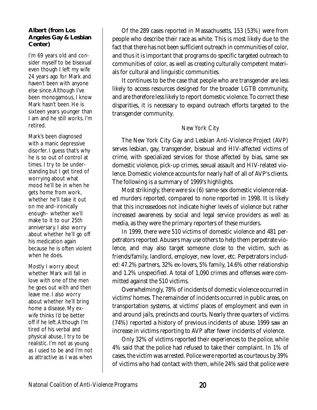### **Albert (from Los Angeles Gay & Lesbian Center)**

I'm 69 years old and consider myself to be bisexual even though I left my wife 24 years ago for Mark and haven't been with anyone else since.Although I've been monogamous, I know Mark hasn't been. He is sixteen years younger than I am and he still works. I'm retired.

Mark's been diagnosed with a manic depressive disorfer. I guess that's why he is so out of control at times. I try to be understanding but I get tired of worrying about what mood he'll be in when he gets home from work, whether he'll take it out on me and–ironically enough– whether we'll make to it to our 25th anniversary. I also worry about whether he'll go off his medication again because he is often violent when he does.

Mostly I worry about whether Mark will fall in love with one of the men he goes out with and then leave me. I also worry about whether he'll bring home a disease. My exwife thinks I'd be better off if he left.Although I'm tired of his verbal and physical abuse, I try to be realistic. I'm not as young as I used to be and I'm not as attractive as I was when

Of the 289 cases reported in Massachusetts, 153 (53%) were from people who describe their race as white. This is most likely due to the fact that there has not been sufficient outreach in communities of color, and thus it is important that programs do specific targeted outreach to communities of color, as well as creating culturally competent materials for cultural and linguistic communities.

It continues to be the case that people who are transgender are less likely to access resources designed for the broader LGTB community, and are therefore less likely to report domestic violence. To correct these disparities, it is necessary to expand outreach efforts targeted to the transgender community.

## New York City

The New York City Gay and Lesbian Anti-Violence Project (AVP) serves lesbian, gay, transgender, bisexual and HIV-affected victims of crime, with specialized services for those affected by bias, same sex domestic violence, pick-up crimes, sexual assault and HIV-related violence. Domestic violence accounts for nearly half of all of AVP's clients. The following is a summary of 1999's highlights.

Most strikingly, there were six (6) same-sex domestic violence related murders reported, compared to none reported in 1998. It is likely that this increasedoes not indicate higher levels of violence but rather increased awareness by social and legal service providers as well as media, as they were the primary reporters of these murders.

In 1999, there were 510 victims of domestic violence and 481 perpetrators reported. Abusers may use others to help them perpetrate violence, and may also target someone close to the victim, such as friends/family, landlord, employer, new lover, etc. Perpetrators included: 47.2% partners, 32% ex-lovers, 5% family, 14.6% other relationship and 1.2% unspecified. A total of 1,090 crimes and offenses were committed against the 510 victims.

Overwhelmingly, 78% of incidents of domestic violence occurred in victims' homes. The remainder of incidents occurred in public areas, on transportation systems, at victims' places of employment and even in and around jails, precincts and courts. Nearly three quarters of victims (74%) reported a history of previous incidents of abuse. 1999 saw an increase in victims reporting to AVP after fewer incidents of violence.

Only 32% of victims reported their experiences to the police, while 4% said that the police had refused to take their complaint. In 1% of cases, the victim was arrested. Police were reported as courteous by 39% of victims who had contact with them, while 24% said that police were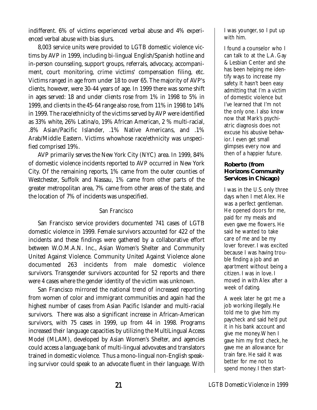indifferent. 6% of victims experienced verbal abuse and 4% experienced verbal abuse with bias slurs.

8,003 service units were provided to LGTB domestic violence victims by AVP in 1999, including bi-lingual English/Spanish hotline and in-person counseling, support groups, referrals, advocacy, accompaniment, court monitoring, crime victims' compensation filing, etc. Victims ranged in age from under 18 to over 65. The majority of AVP's clients, however, were 30-44 years of age. In 1999 there was some shift in ages served: 18 and under clients rose from 1% in 1998 to 5% in 1999, and clients in the 45-64 range also rose, from 11% in 1998 to 14% in 1999. The race/ethnicity of the victims served by AVP were identified as 33% white, 26% Latina/o, 19% African American, 2 % multi-racial, .8% Asian/Pacific Islander, .1% Native Americans, and .1% Arab/Middle Eastern. Victims whowhose race/ethnicity was unspecified comprised 19%.

AVP primarily serves the New York City (NYC) area. In 1999, 84% of domestic violence incidents reported to AVP occurred in New York City. Of the remaining reports, 1% came from the outer counties of Westchester, Suffolk and Nassau, 1% came from other parts of the greater metropolitan area, 7% came from other areas of the state, and the location of 7% of incidents was unspecified.

### San Francisco

San Francisco service providers documented 741 cases of LGTB domestic violence in 1999. Female survivors accounted for 422 of the incidents and these findings were gathered by a collaborative effort between W.O.M.A.N. Inc., Asian Women's Shelter and Community United Against Violence. Community United Against Violence alone documented 263 incidents from male domestic violence survivors. Transgender survivors accounted for 52 reports and there were 4 cases where the gender identity of the victim was unknown.

San Francisco mirrored the national trend of increased reporting from women of color and immigrant communities and again had the highest number of cases from Asian Pacific Islander and multi-racial survivors. There was also a significant increase in African-American survivors, with 75 cases in 1999, up from 44 in 1998. Programs increased their language capacities by utilizing the MultiLingual Access Model (MLAM), developed by Asian Women's Shelter, and agencies could access a language bank of multi-lingual advovates and translators trained in domestic violence. Thus a mono-lingual non-English speaking survivor could speak to an advocate fluent in their language. With

I was younger, so I put up with him.

I found a counselor who I can talk to at the L.A. Gay & Lesbian Center and she has been helping me identify ways to increase my safety. It hasn't been easy admitting that I'm a victim of domestic violence but I've learned that I'm not the only one. I also know now that Mark's psychiatric diagnosis does not excuse his abusive behavior. I even get small glimpses every now and then of a happier future.

### **Roberto (from Horizons Community Services in Chicago)**

I was in the U.S. only three days when I met Alex. He was a perfect gentleman. He opened doors for me, paid for my meals and even gave me flowers. He said he wanted to take care of me and be my lover forever. I was excited because I was having trouble finding a job and an apartment without being a citizen. I was in love. I moved in with Alex after a week of dating.

A week later he got me a job working illegally. He told me to give him my paycheck and said he'd put it in his bank account and give me money.When I gave him my first check, he gave me an allowance for train fare. He said it was better for me not to spend money. I then start